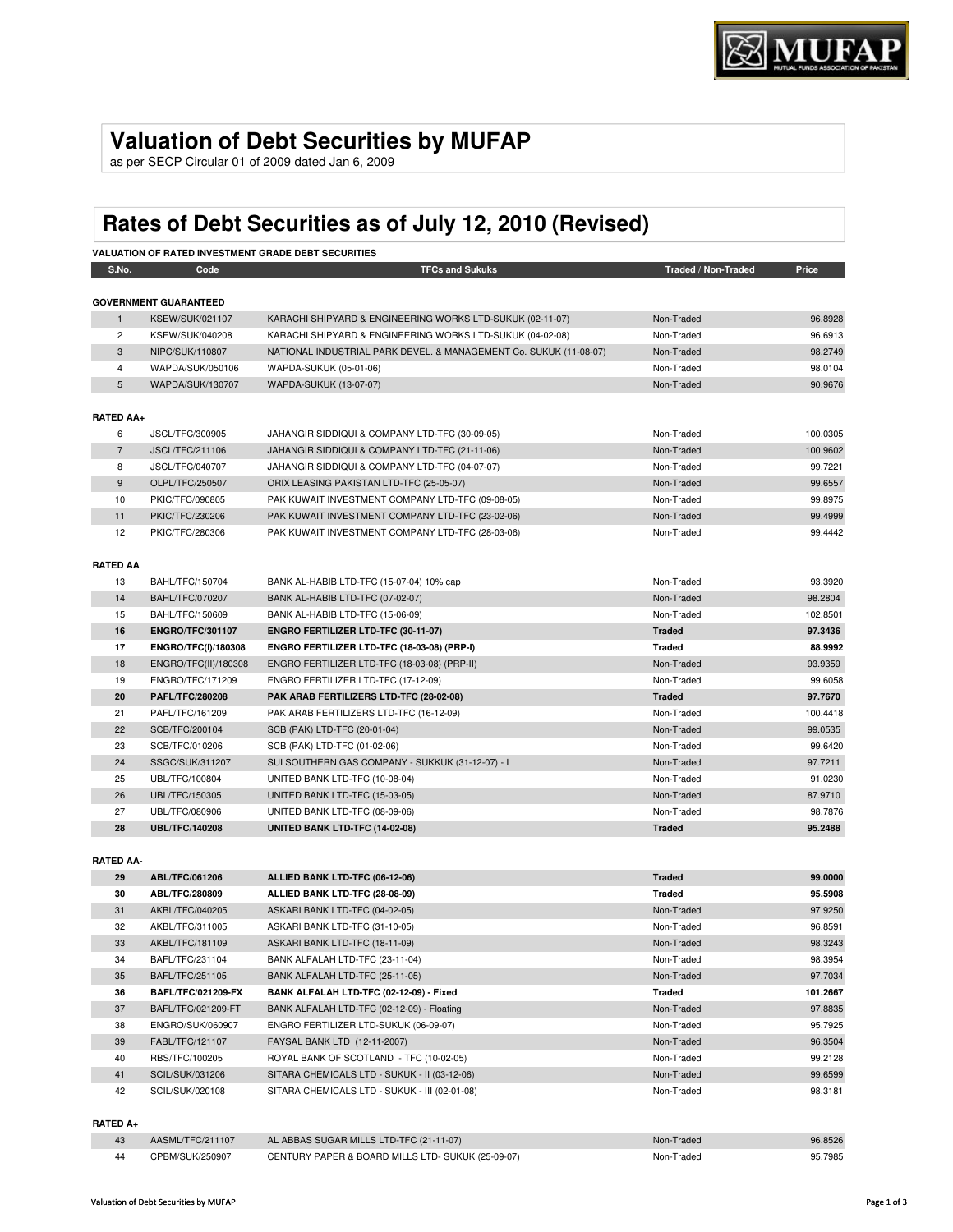# **Valuation of Debt Securities by MUFAP**

as per SECP Circular 01 of 2009 dated Jan 6, 2009

# **Rates of Debt Securities as of July 12, 2010 (Revised)**

|                  |                              | <b>VALUATION OF RATED INVESTMENT GRADE DEBT SECURITIES</b>        |                     |          |
|------------------|------------------------------|-------------------------------------------------------------------|---------------------|----------|
| S.No.            | Code                         | <b>TFCs and Sukuks</b>                                            | Traded / Non-Traded | Price    |
|                  | <b>GOVERNMENT GUARANTEED</b> |                                                                   |                     |          |
| $\mathbf{1}$     | <b>KSEW/SUK/021107</b>       | KARACHI SHIPYARD & ENGINEERING WORKS LTD-SUKUK (02-11-07)         | Non-Traded          | 96.8928  |
| $\overline{2}$   | KSEW/SUK/040208              | KARACHI SHIPYARD & ENGINEERING WORKS LTD-SUKUK (04-02-08)         | Non-Traded          | 96.6913  |
| 3                | NIPC/SUK/110807              | NATIONAL INDUSTRIAL PARK DEVEL. & MANAGEMENT Co. SUKUK (11-08-07) | Non-Traded          | 98.2749  |
| $\overline{4}$   | WAPDA/SUK/050106             | WAPDA-SUKUK (05-01-06)                                            | Non-Traded          | 98.0104  |
| 5                | WAPDA/SUK/130707             | WAPDA-SUKUK (13-07-07)                                            | Non-Traded          | 90.9676  |
|                  |                              |                                                                   |                     |          |
| <b>RATED AA+</b> |                              |                                                                   |                     |          |
| 6                | JSCL/TFC/300905              | JAHANGIR SIDDIQUI & COMPANY LTD-TFC (30-09-05)                    | Non-Traded          | 100.0305 |
| $\overline{7}$   | <b>JSCL/TFC/211106</b>       | JAHANGIR SIDDIQUI & COMPANY LTD-TFC (21-11-06)                    | Non-Traded          | 100.9602 |
| 8                | <b>JSCL/TFC/040707</b>       | JAHANGIR SIDDIQUI & COMPANY LTD-TFC (04-07-07)                    | Non-Traded          | 99.7221  |
| 9                | OLPL/TFC/250507              | ORIX LEASING PAKISTAN LTD-TFC (25-05-07)                          | Non-Traded          | 99.6557  |
| 10               | PKIC/TFC/090805              | PAK KUWAIT INVESTMENT COMPANY LTD-TFC (09-08-05)                  | Non-Traded          | 99.8975  |
| 11               | PKIC/TFC/230206              | PAK KUWAIT INVESTMENT COMPANY LTD-TFC (23-02-06)                  | Non-Traded          | 99.4999  |
| 12               | PKIC/TFC/280306              | PAK KUWAIT INVESTMENT COMPANY LTD-TFC (28-03-06)                  | Non-Traded          | 99.4442  |
| <b>RATED AA</b>  |                              |                                                                   |                     |          |
| 13               | BAHL/TFC/150704              | BANK AL-HABIB LTD-TFC (15-07-04) 10% cap                          | Non-Traded          | 93.3920  |
| 14               | <b>BAHL/TFC/070207</b>       | BANK AL-HABIB LTD-TFC (07-02-07)                                  | Non-Traded          | 98.2804  |
| 15               | BAHL/TFC/150609              | BANK AL-HABIB LTD-TFC (15-06-09)                                  | Non-Traded          | 102.8501 |
| 16               | <b>ENGRO/TFC/301107</b>      | ENGRO FERTILIZER LTD-TFC (30-11-07)                               | <b>Traded</b>       | 97.3436  |
| 17               | ENGRO/TFC(I)/180308          | ENGRO FERTILIZER LTD-TFC (18-03-08) (PRP-I)                       | <b>Traded</b>       | 88.9992  |
| 18               | ENGRO/TFC(II)/180308         | ENGRO FERTILIZER LTD-TFC (18-03-08) (PRP-II)                      | Non-Traded          | 93.9359  |
| 19               | ENGRO/TFC/171209             | ENGRO FERTILIZER LTD-TFC (17-12-09)                               | Non-Traded          | 99.6058  |
| 20               | <b>PAFL/TFC/280208</b>       | PAK ARAB FERTILIZERS LTD-TFC (28-02-08)                           | <b>Traded</b>       | 97.7670  |
| 21               | PAFL/TFC/161209              | PAK ARAB FERTILIZERS LTD-TFC (16-12-09)                           | Non-Traded          | 100.4418 |
| 22               | SCB/TFC/200104               | SCB (PAK) LTD-TFC (20-01-04)                                      | Non-Traded          | 99.0535  |
| 23               | SCB/TFC/010206               | SCB (PAK) LTD-TFC (01-02-06)                                      | Non-Traded          | 99.6420  |
| 24               | SSGC/SUK/311207              | SUI SOUTHERN GAS COMPANY - SUKKUK (31-12-07) - I                  | Non-Traded          | 97.7211  |
| 25               | UBL/TFC/100804               | UNITED BANK LTD-TFC (10-08-04)                                    | Non-Traded          | 91.0230  |
| 26               | UBL/TFC/150305               | UNITED BANK LTD-TFC (15-03-05)                                    | Non-Traded          | 87.9710  |
| 27               | UBL/TFC/080906               | UNITED BANK LTD-TFC (08-09-06)                                    | Non-Traded          | 98.7876  |
| 28               | <b>UBL/TFC/140208</b>        | UNITED BANK LTD-TFC (14-02-08)                                    | <b>Traded</b>       | 95.2488  |
|                  |                              |                                                                   |                     |          |
| <b>RATED AA-</b> |                              |                                                                   |                     |          |
| 29               | ABL/TFC/061206               | ALLIED BANK LTD-TFC (06-12-06)                                    | <b>Traded</b>       | 99.0000  |
| 30               | ABL/TFC/280809               | ALLIED BANK LTD-TFC (28-08-09)                                    | <b>Traded</b>       | 95.5908  |
| 31               | AKBL/TFC/040205              | ASKARI BANK LTD-TFC (04-02-05)                                    | Non-Traded          | 97.9250  |
| 32               | AKBL/TFC/311005              | ASKARI BANK LTD-TFC (31-10-05)                                    | Non-Traded          | 96.8591  |
| 33               | AKBL/TFC/181109              | ASKARI BANK LTD-TFC (18-11-09)                                    | Non-Traded          | 98.3243  |

| ےت | ANDL/IFU/311000           | <b>ASNANI BAINN LID-IFU (31-10-03)</b>        | <b>IVOII-TIQUEU</b> | ລດ ວາລ ເ |
|----|---------------------------|-----------------------------------------------|---------------------|----------|
| 33 | AKBL/TFC/181109           | ASKARI BANK LTD-TFC (18-11-09)                | Non-Traded          | 98.3243  |
| 34 | BAFL/TFC/231104           | BANK ALFALAH LTD-TFC (23-11-04)               | Non-Traded          | 98.3954  |
| 35 | BAFL/TFC/251105           | BANK ALFALAH LTD-TFC (25-11-05)               | Non-Traded          | 97.7034  |
| 36 | <b>BAFL/TFC/021209-FX</b> | BANK ALFALAH LTD-TFC (02-12-09) - Fixed       | <b>Traded</b>       | 101.2667 |
| 37 | BAFL/TFC/021209-FT        | BANK ALFALAH LTD-TFC (02-12-09) - Floating    | Non-Traded          | 97.8835  |
| 38 | ENGRO/SUK/060907          | ENGRO FERTILIZER LTD-SUKUK (06-09-07)         | Non-Traded          | 95.7925  |
| 39 | FABL/TFC/121107           | FAYSAL BANK LTD (12-11-2007)                  | Non-Traded          | 96.3504  |
| 40 | RBS/TFC/100205            | ROYAL BANK OF SCOTLAND - TFC (10-02-05)       | Non-Traded          | 99.2128  |
| 41 | SCIL/SUK/031206           | SITARA CHEMICALS LTD - SUKUK - II (03-12-06)  | Non-Traded          | 99.6599  |
| 42 | SCIL/SUK/020108           | SITARA CHEMICALS LTD - SUKUK - III (02-01-08) | Non-Traded          | 98.3181  |
|    |                           |                                               |                     |          |

#### **RATED A+**

| 43  | AASML/TFC/211107 | AL ABBAS SUGAR MILLS LTD-TFC (21-11-07)           | Non-Traded | 96.8526 |
|-----|------------------|---------------------------------------------------|------------|---------|
| -44 | CPBM/SUK/250907  | CENTURY PAPER & BOARD MILLS LTD- SUKUK (25-09-07) | Non-Traded | 95.7985 |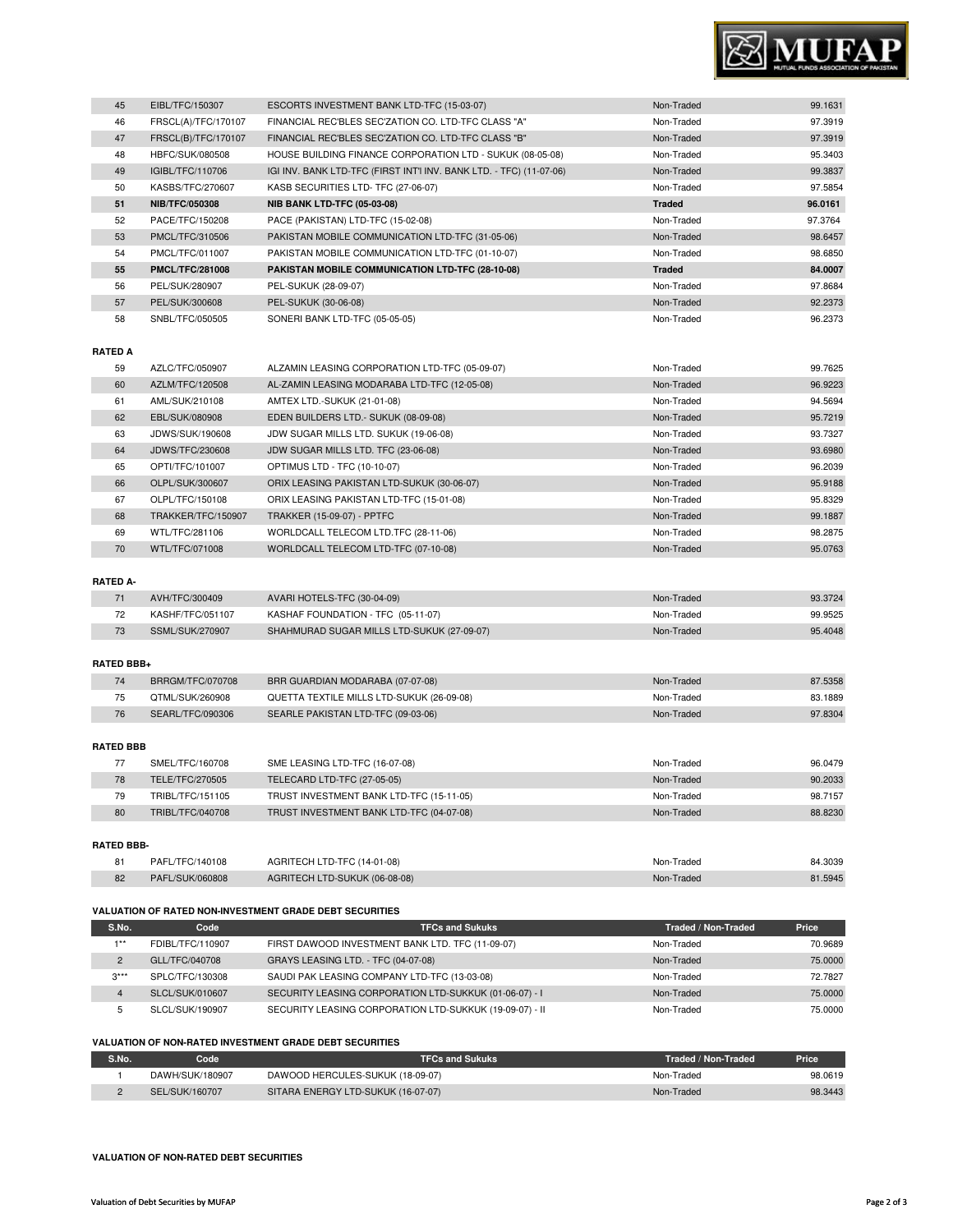

| 45 | EIBL/TFC/150307        | ESCORTS INVESTMENT BANK LTD-TFC (15-03-07)                          | Non-Traded    | 99.1631 |
|----|------------------------|---------------------------------------------------------------------|---------------|---------|
| 46 | FRSCL(A)/TFC/170107    | FINANCIAL REC'BLES SEC'ZATION CO. LTD-TFC CLASS "A"                 | Non-Traded    | 97.3919 |
| 47 | FRSCL(B)/TFC/170107    | FINANCIAL REC'BLES SEC'ZATION CO. LTD-TFC CLASS "B"                 | Non-Traded    | 97.3919 |
| 48 | HBFC/SUK/080508        | HOUSE BUILDING FINANCE CORPORATION LTD - SUKUK (08-05-08)           | Non-Traded    | 95.3403 |
| 49 | IGIBL/TFC/110706       | IGI INV. BANK LTD-TFC (FIRST INT'I INV. BANK LTD. - TFC) (11-07-06) | Non-Traded    | 99.3837 |
| 50 | KASBS/TFC/270607       | KASB SECURITIES LTD- TFC (27-06-07)                                 | Non-Traded    | 97.5854 |
| 51 | <b>NIB/TFC/050308</b>  | <b>NIB BANK LTD-TFC (05-03-08)</b>                                  | <b>Traded</b> | 96.0161 |
| 52 | PACE/TFC/150208        | PACE (PAKISTAN) LTD-TFC (15-02-08)                                  | Non-Traded    | 97.3764 |
| 53 | PMCL/TFC/310506        | PAKISTAN MOBILE COMMUNICATION LTD-TFC (31-05-06)                    | Non-Traded    | 98.6457 |
| 54 | PMCL/TFC/011007        | PAKISTAN MOBILE COMMUNICATION LTD-TFC (01-10-07)                    | Non-Traded    | 98.6850 |
| 55 | <b>PMCL/TFC/281008</b> | PAKISTAN MOBILE COMMUNICATION LTD-TFC (28-10-08)                    | <b>Traded</b> | 84.0007 |
| 56 | PEL/SUK/280907         | PEL-SUKUK (28-09-07)                                                | Non-Traded    | 97.8684 |
| 57 | PEL/SUK/300608         | PEL-SUKUK (30-06-08)                                                | Non-Traded    | 92.2373 |
| 58 | SNBL/TFC/050505        | SONERI BANK LTD-TFC (05-05-05)                                      | Non-Traded    | 96.2373 |

## **RATED A**

| 59 | AZLC/TFC/050907    | ALZAMIN LEASING CORPORATION LTD-TFC (05-09-07) | Non-Traded | 99.7625 |
|----|--------------------|------------------------------------------------|------------|---------|
| 60 | AZLM/TFC/120508    | AL-ZAMIN LEASING MODARABA LTD-TFC (12-05-08)   | Non-Traded | 96.9223 |
| 61 | AML/SUK/210108     | AMTEX LTD.-SUKUK (21-01-08)                    | Non-Traded | 94.5694 |
| 62 | EBL/SUK/080908     | EDEN BUILDERS LTD.- SUKUK (08-09-08)           | Non-Traded | 95.7219 |
| 63 | JDWS/SUK/190608    | JDW SUGAR MILLS LTD. SUKUK (19-06-08)          | Non-Traded | 93.7327 |
| 64 | JDWS/TFC/230608    | JDW SUGAR MILLS LTD. TFC (23-06-08)            | Non-Traded | 93.6980 |
| 65 | OPTI/TFC/101007    | OPTIMUS LTD - TFC (10-10-07)                   | Non-Traded | 96.2039 |
| 66 | OLPL/SUK/300607    | ORIX LEASING PAKISTAN LTD-SUKUK (30-06-07)     | Non-Traded | 95.9188 |
| 67 | OLPL/TFC/150108    | ORIX LEASING PAKISTAN LTD-TFC (15-01-08)       | Non-Traded | 95.8329 |
| 68 | TRAKKER/TFC/150907 | <b>TRAKKER (15-09-07) - PPTFC</b>              | Non-Traded | 99.1887 |
| 69 | WTL/TFC/281106     | WORLDCALL TELECOM LTD.TFC (28-11-06)           | Non-Traded | 98.2875 |
| 70 | WTL/TFC/071008     | WORLDCALL TELECOM LTD-TFC (07-10-08)           | Non-Traded | 95.0763 |

# **RATED A-**

| AVH/TFC/300409   | AVARI HOTELS-TFC (30-04-09)                | Non-Traded | 93.3724 |
|------------------|--------------------------------------------|------------|---------|
| KASHF/TFC/051107 | KASHAF FOUNDATION - TFC (05-11-07)         | Non-Traded | 99.9525 |
| SSML/SUK/270907  | SHAHMURAD SUGAR MILLS LTD-SUKUK (27-09-07) | Non-Traded | 95.4048 |

#### **RATED BBB+**

| 74 | BRRGM/TFC/070708 | BRR GUARDIAN MODARABA (07-07-08)          | Non-Traded | 87.5358 |
|----|------------------|-------------------------------------------|------------|---------|
| 75 | OTML/SUK/260908  | QUETTA TEXTILE MILLS LTD-SUKUK (26-09-08) | Non-Traded | 83.1889 |
| 76 | SEARL/TFC/090306 | SEARLE PAKISTAN LTD-TFC (09-03-06)        | Non-Traded | 97.8304 |
|    |                  |                                           |            |         |

## **RATED BBB**

|    | SMEL/TFC/160708  | SME LEASING LTD-TFC (16-07-08)           | Non-Traded | 96.0479 |
|----|------------------|------------------------------------------|------------|---------|
| 78 | TELE/TFC/270505  | TELECARD LTD-TFC (27-05-05)              | Non-Traded | 90.2033 |
| 79 | TRIBL/TFC/151105 | TRUST INVESTMENT BANK LTD-TFC (15-11-05) | Non-Traded | 98.7157 |
| 80 | TRIBL/TFC/040708 | TRUST INVESTMENT BANK LTD-TFC (04-07-08) | Non-Traded | 88.8230 |
|    |                  |                                          |            |         |

#### **RATED BBB-**

| O <sub>1</sub> | PAFL/TFC/140108 | AGRITECH LTD-TFC (14-01-08)   | Non-Traded | 84.3039 |
|----------------|-----------------|-------------------------------|------------|---------|
| 82             | PAFL/SUK/060808 | AGRITECH LTD-SUKUK (06-08-08) | Non-Traded | 81.5945 |

#### **VALUATION OF RATED NON-INVESTMENT GRADE DEBT SECURITIES**

| S.No.          | Code             | <b>TFCs and Sukuks</b>                                  | Traded / Non-Traded | Price   |
|----------------|------------------|---------------------------------------------------------|---------------------|---------|
| $4 * *$        | FDIBL/TFC/110907 | FIRST DAWOOD INVESTMENT BANK LTD. TFC (11-09-07)        | Non-Traded          | 70.9689 |
| $\overline{2}$ | GLL/TFC/040708   | GRAYS LEASING LTD. - TFC (04-07-08)                     | Non-Traded          | 75,0000 |
| $3***$         | SPLC/TFC/130308  | SAUDI PAK LEASING COMPANY LTD-TFC (13-03-08)            | Non-Traded          | 72.7827 |
| 4              | SLCL/SUK/010607  | SECURITY LEASING CORPORATION LTD-SUKKUK (01-06-07) - I  | Non-Traded          | 75,0000 |
|                | SLCL/SUK/190907  | SECURITY LEASING CORPORATION LTD-SUKKUK (19-09-07) - II | Non-Traded          | 75,0000 |

#### **VALUATION OF NON-RATED INVESTMENT GRADE DEBT SECURITIES**

| S.No. | Code            | <b>TFCs and Sukuks</b>             | Traded / Non-Traded | Price   |
|-------|-----------------|------------------------------------|---------------------|---------|
|       | DAWH/SUK/180907 | DAWOOD HERCULES-SUKUK (18-09-07)   | Non-Traded          | 98.0619 |
|       | SEL/SUK/160707  | SITARA ENERGY LTD-SUKUK (16-07-07) | Non-Traded          | 98.3443 |